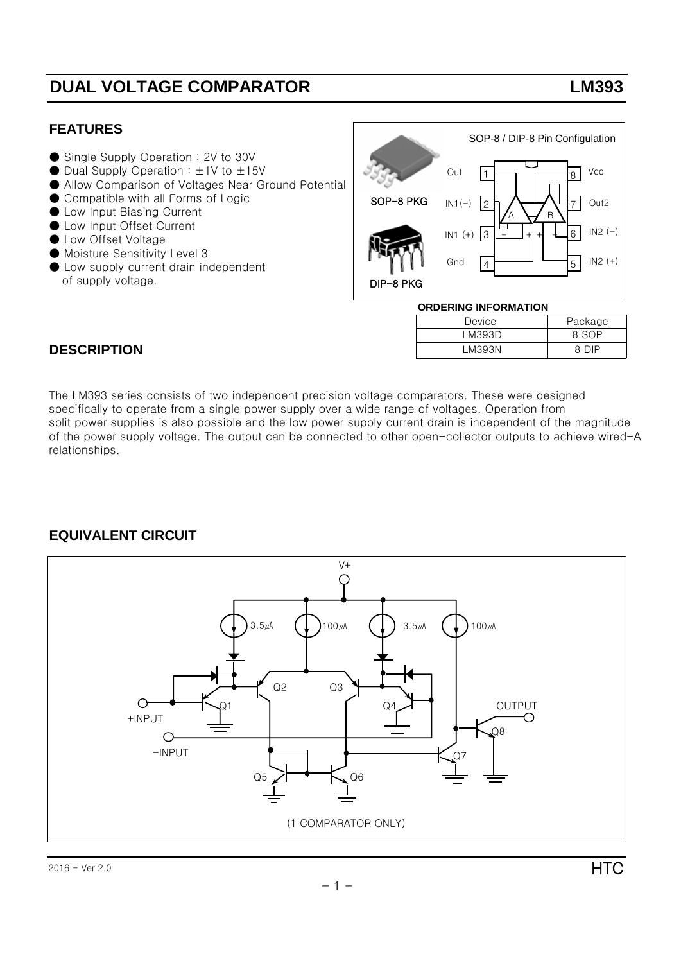## **DUAL VOLTAGE COMPARATOR LM393**

#### **FEATURES**

- Single Supply Operation : 2V to 30V
- $\bullet$  Dual Supply Operation :  $\pm$ 1V to  $\pm$ 15V
- Allow Comparison of Voltages Near Ground Potential
- Compatible with all Forms of Logic
- Low Input Biasing Current
- Low Input Offset Current
- Low Offset Voltage
- Moisture Sensitivity Level 3
- Low supply current drain independent of supply voltage.



| UKUEKING INFUKWATIUN |         |  |  |  |  |  |
|----------------------|---------|--|--|--|--|--|
| Device               | Package |  |  |  |  |  |
| LM393D               | 8.SOP   |  |  |  |  |  |
| LM393N               | 8 NIP   |  |  |  |  |  |

#### **DESCRIPTION**

The LM393 series consists of two independent precision voltage comparators. These were designed specifically to operate from a single power supply over a wide range of voltages. Operation from split power supplies is also possible and the low power supply current drain is independent of the magnitude of the power supply voltage. The output can be connected to other open-collector outputs to achieve wired-A relationships.

### **EQUIVALENT CIRCUIT**

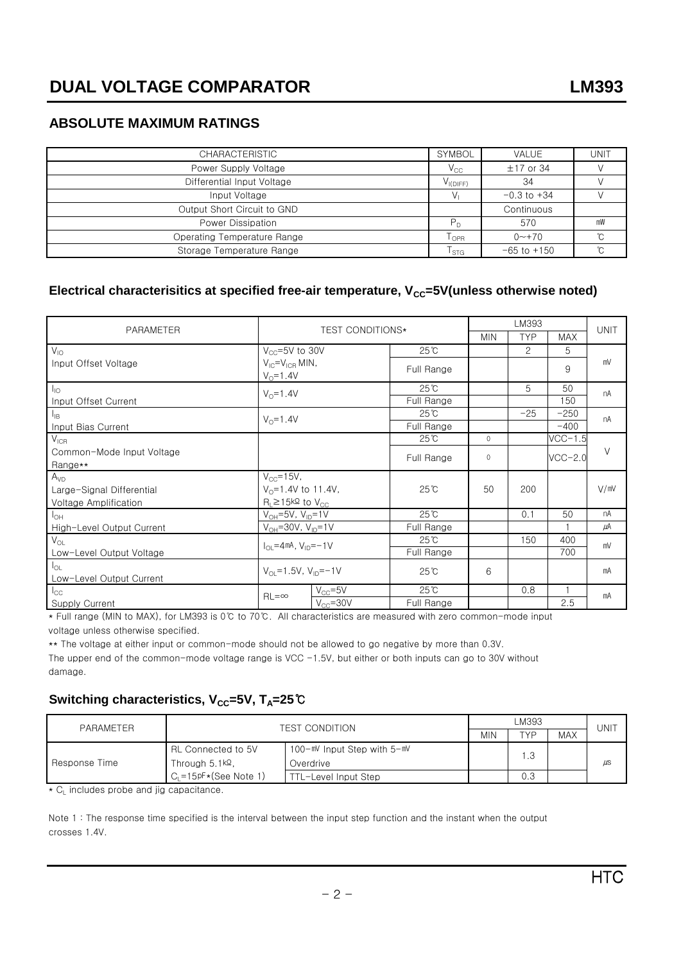### **ABSOLUTE MAXIMUM RATINGS**

| <b>CHARACTERISTIC</b>       | <b>SYMBOL</b>    | <b>VALUE</b>        | <b>UNIT</b> |
|-----------------------------|------------------|---------------------|-------------|
| Power Supply Voltage        | $V_{CC}$         | $±17$ or 34         |             |
| Differential Input Voltage  | $V_{I(DIFF)}$    | 34                  |             |
| Input Voltage               |                  | $-0.3$ to $+34$     |             |
| Output Short Circuit to GND |                  | Continuous          |             |
| Power Dissipation           | $P_{D}$          | 570                 | mW          |
| Operating Temperature Range | l <sub>OPR</sub> | $0 \rightarrow +70$ | °C.         |
| Storage Temperature Range   | l stG            | $-65$ to $+150$     | °C.         |

#### Electrical characterisitics at specified free-air temperature, V<sub>cc</sub>=5V(unless otherwise noted)

|                                                                 | <b>TEST CONDITIONS*</b>                                        |                | LM393          |            |                |             |        |
|-----------------------------------------------------------------|----------------------------------------------------------------|----------------|----------------|------------|----------------|-------------|--------|
| PARAMETER                                                       |                                                                |                | <b>MIN</b>     | <b>TYP</b> | <b>MAX</b>     | <b>UNIT</b> |        |
| $V_{10}$                                                        | $V_{CC} = 5V$ to 30V                                           |                | $25^{\circ}$ C |            | $\overline{c}$ | 5           |        |
| $V_{IC} = V_{ICR}$ MIN,<br>Input Offset Voltage<br>$V_0 = 1.4V$ |                                                                |                | Full Range     |            |                | 9           | mV     |
| $I_{10}$                                                        | $V_0 = 1.4V$                                                   |                | $25^{\circ}$ C |            | 5              | 50          | nA     |
| Input Offset Current                                            |                                                                |                | Full Range     |            |                | 150         |        |
| $I_{IB}$                                                        |                                                                | $V_0 = 1.4V$   | $25^{\circ}$ C |            | $-25$          | $-250$      | nA     |
| Input Bias Current                                              |                                                                |                | Full Range     |            |                | $-400$      |        |
| $V_{ICR}$                                                       |                                                                |                | $25^{\circ}$ C | $\Omega$   |                | $VCC-1.5$   |        |
| Common-Mode Input Voltage                                       |                                                                |                | Full Range     | $\Omega$   |                | $VCC-2.0$   | $\vee$ |
| Range**                                                         |                                                                |                |                |            |                |             |        |
| A <sub>VD</sub><br>$V_{CC} = 15V$ ,                             |                                                                |                | $25^{\circ}$ C | 50         | 200            |             |        |
| Large-Signal Differential                                       | $V_0 = 1.4V$ to 11.4V,                                         |                |                |            |                |             | V/mV   |
| Voltage Amplification                                           | $R_1 \ge 15k\Omega$ to $V_{CC}$                                |                |                |            |                |             |        |
| $I_{OH}$                                                        | $V_{OH} = 5V$ , $V_{ID} = 1V$                                  |                | $25^{\circ}$ C |            | 0.1            | 50          | nA     |
| High-Level Output Current                                       | $V_{OH} = 30V, V_{ID} = 1V$                                    |                | Full Range     |            |                |             | μA     |
| $V_{OL}$                                                        | $I_{\text{O}} = 4 \text{ mA}$ , $V_{\text{ID}} = -1 \text{ V}$ |                | $25^{\circ}$ C |            | 150            | 400         | mV     |
| Low-Level Output Voltage                                        |                                                                |                | Full Range     |            |                | 700         |        |
| $I_{OL}$                                                        | $V_{\text{O}}$ = 1.5V, $V_{\text{ID}}$ = -1V                   |                | $25^{\circ}$ C | 6          |                |             | mA     |
| Low-Level Output Current                                        |                                                                |                |                |            |                |             |        |
| $I_{\rm CC}$                                                    | $RL = \infty$                                                  | $V_{CC} = 5V$  | $25^{\circ}$ C |            | 0.8            |             | mA     |
| <b>Supply Current</b>                                           |                                                                | $V_{CC} = 30V$ | Full Range     |            |                | 2.5         |        |

\* Full range (MIN to MAX), for LM393 is 0℃ to 70℃. All characteristics are measured with zero common-mode input voltage unless otherwise specified.

\*\* The voltage at either input or common-mode should not be allowed to go negative by more than 0.3V. The upper end of the common-mode voltage range is VCC  $-1.5V$ , but either or both inputs can go to 30V without damage.

### **Switching characteristics, V<sub>CC</sub>=5V, T<sub>A</sub>=25℃**

| PARAMETER     | <b>TEST CONDITION</b>                           |                             |            | <b>UNIT</b> |            |         |
|---------------|-------------------------------------------------|-----------------------------|------------|-------------|------------|---------|
|               |                                                 |                             | <b>MIN</b> | TYP         | <b>MAX</b> |         |
|               | RL Connected to 5V                              | 100-mV Input Step with 5-mV |            | ı.3         |            |         |
| Response Time | Through $5.1$ <sup>k<math>\Omega</math></sup> . | Overdrive                   |            |             |            | $\mu$ s |
|               | $C_1 = 15pF \star (See Note 1)$                 | TTL-Level Input Step        |            | 0.3         |            |         |

\* C<sub>L</sub> includes probe and jig capacitance.

Note 1 : The response time specified is the interval between the input step function and the instant when the output crosses 1.4V.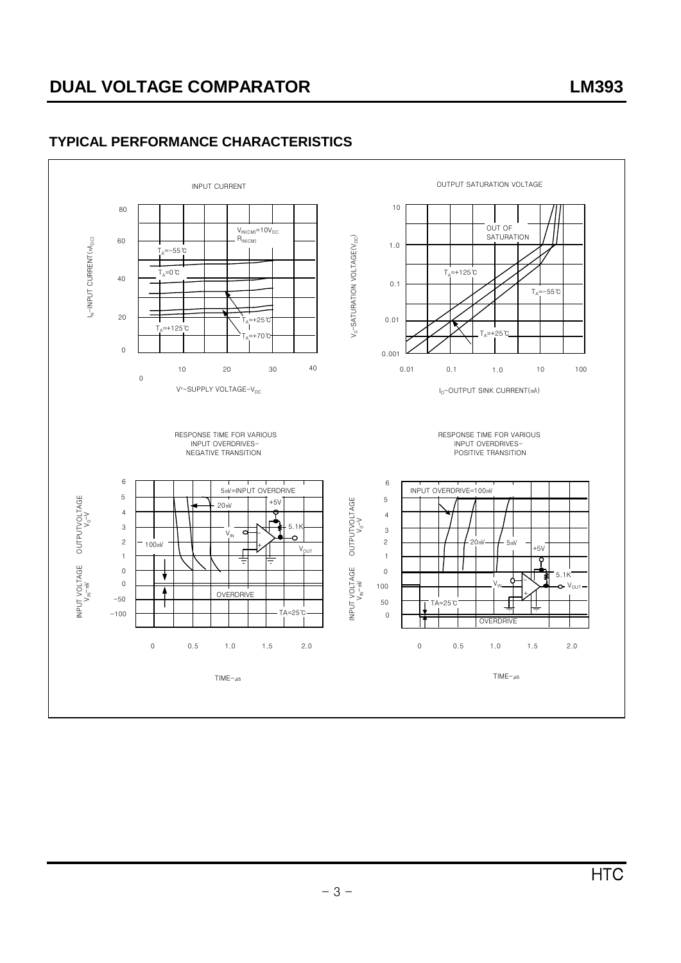# **DUAL VOLTAGE COMPARATOR LM393**

### **TYPICAL PERFORMANCE CHARACTERISTICS**